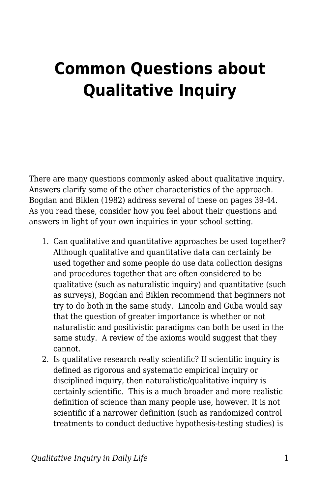## **Common Questions about Qualitative Inquiry**

There are many questions commonly asked about qualitative inquiry. Answers clarify some of the other characteristics of the approach. Bogdan and Biklen (1982) address several of these on pages 39-44. As you read these, consider how you feel about their questions and answers in light of your own inquiries in your school setting.

- 1. Can qualitative and quantitative approaches be used together? Although qualitative and quantitative data can certainly be used together and some people do use data collection designs and procedures together that are often considered to be qualitative (such as naturalistic inquiry) and quantitative (such as surveys), Bogdan and Biklen recommend that beginners not try to do both in the same study. Lincoln and Guba would say that the question of greater importance is whether or not naturalistic and positivistic paradigms can both be used in the same study. A review of the axioms would suggest that they cannot.
- 2. Is qualitative research really scientific? If scientific inquiry is defined as rigorous and systematic empirical inquiry or disciplined inquiry, then naturalistic/qualitative inquiry is certainly scientific. This is a much broader and more realistic definition of science than many people use, however. It is not scientific if a narrower definition (such as randomized control treatments to conduct deductive hypothesis-testing studies) is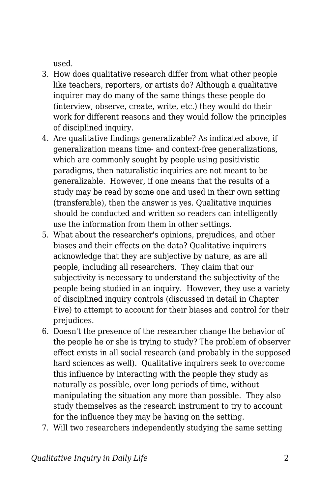used.

- 3. How does qualitative research differ from what other people like teachers, reporters, or artists do? Although a qualitative inquirer may do many of the same things these people do (interview, observe, create, write, etc.) they would do their work for different reasons and they would follow the principles of disciplined inquiry.
- 4. Are qualitative findings generalizable? As indicated above, if generalization means time- and context-free generalizations, which are commonly sought by people using positivistic paradigms, then naturalistic inquiries are not meant to be generalizable. However, if one means that the results of a study may be read by some one and used in their own setting (transferable), then the answer is yes. Qualitative inquiries should be conducted and written so readers can intelligently use the information from them in other settings.
- 5. What about the researcher's opinions, prejudices, and other biases and their effects on the data? Qualitative inquirers acknowledge that they are subjective by nature, as are all people, including all researchers. They claim that our subjectivity is necessary to understand the subjectivity of the people being studied in an inquiry. However, they use a variety of disciplined inquiry controls (discussed in detail in Chapter Five) to attempt to account for their biases and control for their prejudices.
- 6. Doesn't the presence of the researcher change the behavior of the people he or she is trying to study? The problem of observer effect exists in all social research (and probably in the supposed hard sciences as well). Qualitative inquirers seek to overcome this influence by interacting with the people they study as naturally as possible, over long periods of time, without manipulating the situation any more than possible. They also study themselves as the research instrument to try to account for the influence they may be having on the setting.
- 7. Will two researchers independently studying the same setting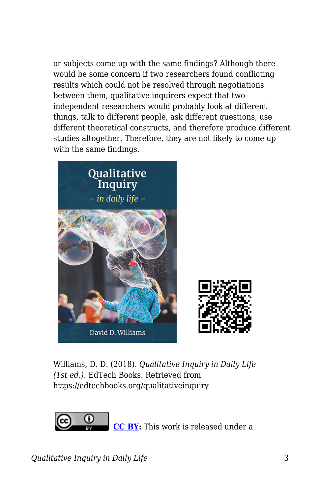or subjects come up with the same findings? Although there would be some concern if two researchers found conflicting results which could not be resolved through negotiations between them, qualitative inquirers expect that two independent researchers would probably look at different things, talk to different people, ask different questions, use different theoretical constructs, and therefore produce different studies altogether. Therefore, they are not likely to come up with the same findings.



Williams, D. D. (2018). *Qualitative Inquiry in Daily Life (1st ed.)*. EdTech Books. Retrieved from https://edtechbooks.org/qualitativeinquiry